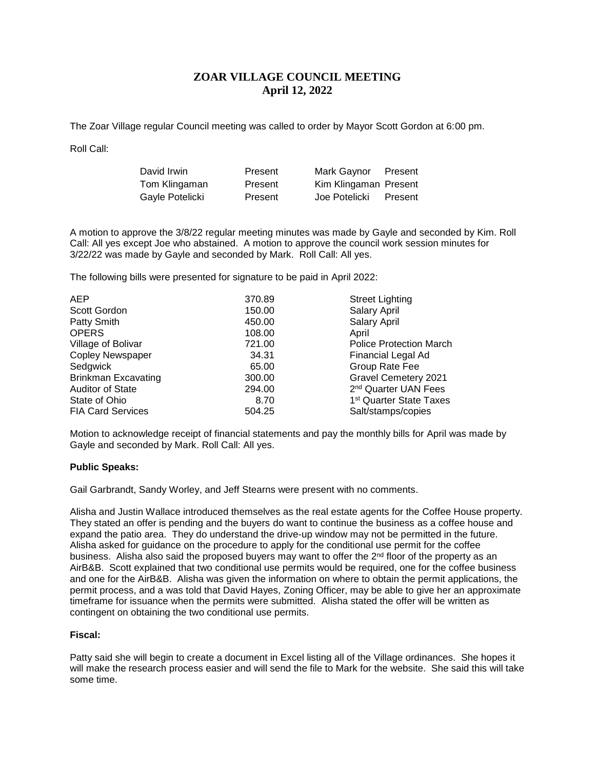# **ZOAR VILLAGE COUNCIL MEETING April 12, 2022**

The Zoar Village regular Council meeting was called to order by Mayor Scott Gordon at 6:00 pm.

Roll Call:

| David Irwin     | Present | Mark Gaynor           | Present |
|-----------------|---------|-----------------------|---------|
| Tom Klingaman   | Present | Kim Klingaman Present |         |
| Gayle Potelicki | Present | Joe Potelicki         | Present |

A motion to approve the 3/8/22 regular meeting minutes was made by Gayle and seconded by Kim. Roll Call: All yes except Joe who abstained. A motion to approve the council work session minutes for 3/22/22 was made by Gayle and seconded by Mark. Roll Call: All yes.

The following bills were presented for signature to be paid in April 2022:

| <b>AEP</b>                 | 370.89 | <b>Street Lighting</b>              |
|----------------------------|--------|-------------------------------------|
| Scott Gordon               | 150.00 | Salary April                        |
| Patty Smith                | 450.00 | Salary April                        |
| <b>OPERS</b>               | 108.00 | April                               |
| Village of Bolivar         | 721.00 | <b>Police Protection March</b>      |
| <b>Copley Newspaper</b>    | 34.31  | Financial Legal Ad                  |
| Sedgwick                   | 65.00  | Group Rate Fee                      |
| <b>Brinkman Excavating</b> | 300.00 | <b>Gravel Cemetery 2021</b>         |
| <b>Auditor of State</b>    | 294.00 | 2 <sup>nd</sup> Quarter UAN Fees    |
| State of Ohio              | 8.70   | 1 <sup>st</sup> Quarter State Taxes |
| <b>FIA Card Services</b>   | 504.25 | Salt/stamps/copies                  |

Motion to acknowledge receipt of financial statements and pay the monthly bills for April was made by Gayle and seconded by Mark. Roll Call: All yes.

## **Public Speaks:**

Gail Garbrandt, Sandy Worley, and Jeff Stearns were present with no comments.

Alisha and Justin Wallace introduced themselves as the real estate agents for the Coffee House property. They stated an offer is pending and the buyers do want to continue the business as a coffee house and expand the patio area. They do understand the drive-up window may not be permitted in the future. Alisha asked for guidance on the procedure to apply for the conditional use permit for the coffee business. Alisha also said the proposed buyers may want to offer the  $2<sup>nd</sup>$  floor of the property as an AirB&B. Scott explained that two conditional use permits would be required, one for the coffee business and one for the AirB&B. Alisha was given the information on where to obtain the permit applications, the permit process, and a was told that David Hayes, Zoning Officer, may be able to give her an approximate timeframe for issuance when the permits were submitted. Alisha stated the offer will be written as contingent on obtaining the two conditional use permits.

## **Fiscal:**

Patty said she will begin to create a document in Excel listing all of the Village ordinances. She hopes it will make the research process easier and will send the file to Mark for the website. She said this will take some time.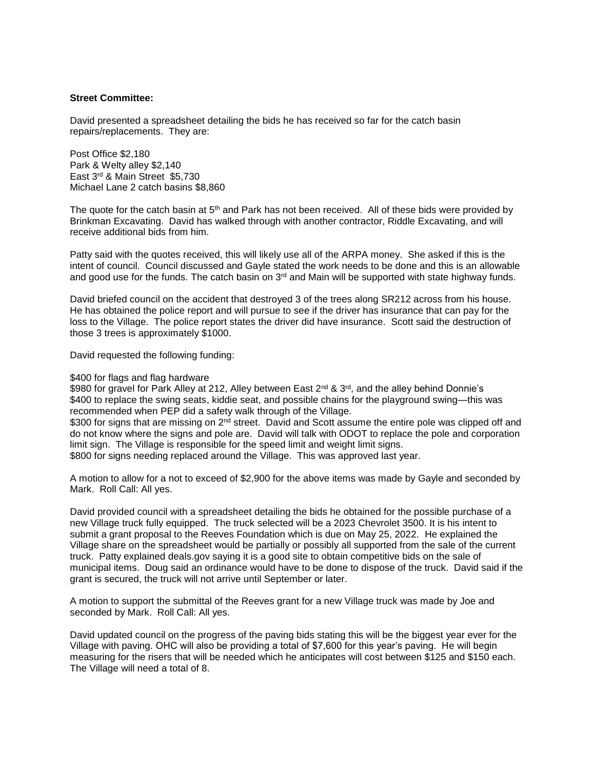### **Street Committee:**

David presented a spreadsheet detailing the bids he has received so far for the catch basin repairs/replacements. They are:

Post Office \$2,180 Park & Welty alley \$2,140 East 3rd & Main Street \$5,730 Michael Lane 2 catch basins \$8,860

The quote for the catch basin at 5<sup>th</sup> and Park has not been received. All of these bids were provided by Brinkman Excavating. David has walked through with another contractor, Riddle Excavating, and will receive additional bids from him.

Patty said with the quotes received, this will likely use all of the ARPA money. She asked if this is the intent of council. Council discussed and Gayle stated the work needs to be done and this is an allowable and good use for the funds. The catch basin on  $3<sup>rd</sup>$  and Main will be supported with state highway funds.

David briefed council on the accident that destroyed 3 of the trees along SR212 across from his house. He has obtained the police report and will pursue to see if the driver has insurance that can pay for the loss to the Village. The police report states the driver did have insurance. Scott said the destruction of those 3 trees is approximately \$1000.

David requested the following funding:

#### \$400 for flags and flag hardware

\$980 for gravel for Park Alley at 212, Alley between East 2<sup>nd</sup> & 3<sup>rd</sup>, and the alley behind Donnie's \$400 to replace the swing seats, kiddie seat, and possible chains for the playground swing—this was recommended when PEP did a safety walk through of the Village.

\$300 for signs that are missing on 2<sup>nd</sup> street. David and Scott assume the entire pole was clipped off and do not know where the signs and pole are. David will talk with ODOT to replace the pole and corporation limit sign. The Village is responsible for the speed limit and weight limit signs.

\$800 for signs needing replaced around the Village. This was approved last year.

A motion to allow for a not to exceed of \$2,900 for the above items was made by Gayle and seconded by Mark. Roll Call: All yes.

David provided council with a spreadsheet detailing the bids he obtained for the possible purchase of a new Village truck fully equipped. The truck selected will be a 2023 Chevrolet 3500. It is his intent to submit a grant proposal to the Reeves Foundation which is due on May 25, 2022. He explained the Village share on the spreadsheet would be partially or possibly all supported from the sale of the current truck. Patty explained deals.gov saying it is a good site to obtain competitive bids on the sale of municipal items. Doug said an ordinance would have to be done to dispose of the truck. David said if the grant is secured, the truck will not arrive until September or later.

A motion to support the submittal of the Reeves grant for a new Village truck was made by Joe and seconded by Mark. Roll Call: All yes.

David updated council on the progress of the paving bids stating this will be the biggest year ever for the Village with paving. OHC will also be providing a total of \$7,600 for this year's paving. He will begin measuring for the risers that will be needed which he anticipates will cost between \$125 and \$150 each. The Village will need a total of 8.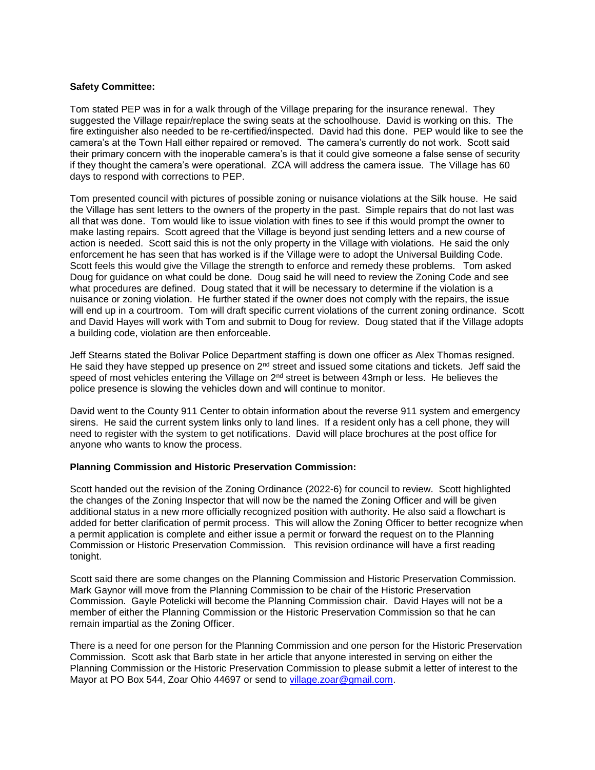## **Safety Committee:**

Tom stated PEP was in for a walk through of the Village preparing for the insurance renewal. They suggested the Village repair/replace the swing seats at the schoolhouse. David is working on this. The fire extinguisher also needed to be re-certified/inspected. David had this done. PEP would like to see the camera's at the Town Hall either repaired or removed. The camera's currently do not work. Scott said their primary concern with the inoperable camera's is that it could give someone a false sense of security if they thought the camera's were operational. ZCA will address the camera issue. The Village has 60 days to respond with corrections to PEP.

Tom presented council with pictures of possible zoning or nuisance violations at the Silk house. He said the Village has sent letters to the owners of the property in the past. Simple repairs that do not last was all that was done. Tom would like to issue violation with fines to see if this would prompt the owner to make lasting repairs. Scott agreed that the Village is beyond just sending letters and a new course of action is needed. Scott said this is not the only property in the Village with violations. He said the only enforcement he has seen that has worked is if the Village were to adopt the Universal Building Code. Scott feels this would give the Village the strength to enforce and remedy these problems. Tom asked Doug for guidance on what could be done. Doug said he will need to review the Zoning Code and see what procedures are defined. Doug stated that it will be necessary to determine if the violation is a nuisance or zoning violation. He further stated if the owner does not comply with the repairs, the issue will end up in a courtroom. Tom will draft specific current violations of the current zoning ordinance. Scott and David Hayes will work with Tom and submit to Doug for review. Doug stated that if the Village adopts a building code, violation are then enforceable.

Jeff Stearns stated the Bolivar Police Department staffing is down one officer as Alex Thomas resigned. He said they have stepped up presence on  $2<sup>nd</sup>$  street and issued some citations and tickets. Jeff said the speed of most vehicles entering the Village on  $2<sup>nd</sup>$  street is between 43mph or less. He believes the police presence is slowing the vehicles down and will continue to monitor.

David went to the County 911 Center to obtain information about the reverse 911 system and emergency sirens. He said the current system links only to land lines. If a resident only has a cell phone, they will need to register with the system to get notifications. David will place brochures at the post office for anyone who wants to know the process.

## **Planning Commission and Historic Preservation Commission:**

Scott handed out the revision of the Zoning Ordinance (2022-6) for council to review. Scott highlighted the changes of the Zoning Inspector that will now be the named the Zoning Officer and will be given additional status in a new more officially recognized position with authority. He also said a flowchart is added for better clarification of permit process. This will allow the Zoning Officer to better recognize when a permit application is complete and either issue a permit or forward the request on to the Planning Commission or Historic Preservation Commission. This revision ordinance will have a first reading tonight.

Scott said there are some changes on the Planning Commission and Historic Preservation Commission. Mark Gaynor will move from the Planning Commission to be chair of the Historic Preservation Commission. Gayle Potelicki will become the Planning Commission chair. David Hayes will not be a member of either the Planning Commission or the Historic Preservation Commission so that he can remain impartial as the Zoning Officer.

There is a need for one person for the Planning Commission and one person for the Historic Preservation Commission. Scott ask that Barb state in her article that anyone interested in serving on either the Planning Commission or the Historic Preservation Commission to please submit a letter of interest to the Mayor at PO Box 544, Zoar Ohio 44697 or send to [village.zoar@gmail.com.](mailto:village.zoar@gmail.com)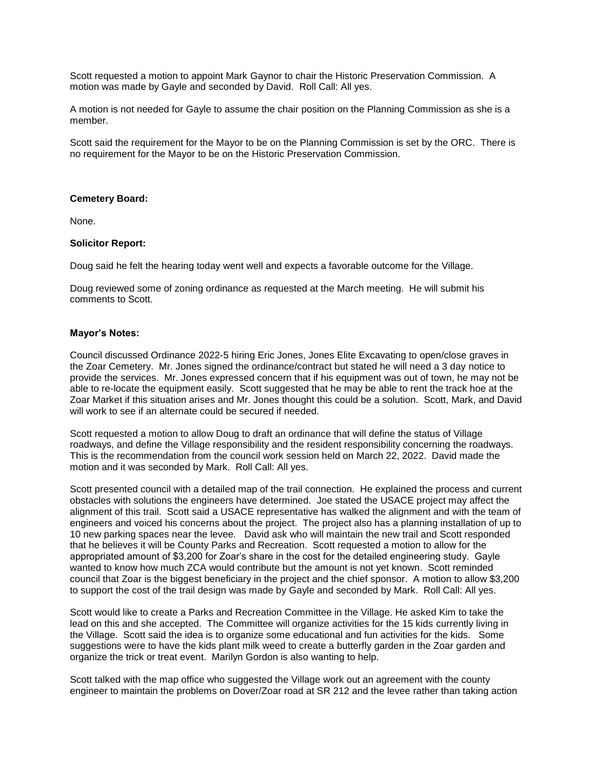Scott requested a motion to appoint Mark Gaynor to chair the Historic Preservation Commission. A motion was made by Gayle and seconded by David. Roll Call: All yes.

A motion is not needed for Gayle to assume the chair position on the Planning Commission as she is a member.

Scott said the requirement for the Mayor to be on the Planning Commission is set by the ORC. There is no requirement for the Mayor to be on the Historic Preservation Commission.

### **Cemetery Board:**

None.

### **Solicitor Report:**

Doug said he felt the hearing today went well and expects a favorable outcome for the Village.

Doug reviewed some of zoning ordinance as requested at the March meeting. He will submit his comments to Scott.

### **Mayor's Notes:**

Council discussed Ordinance 2022-5 hiring Eric Jones, Jones Elite Excavating to open/close graves in the Zoar Cemetery. Mr. Jones signed the ordinance/contract but stated he will need a 3 day notice to provide the services. Mr. Jones expressed concern that if his equipment was out of town, he may not be able to re-locate the equipment easily. Scott suggested that he may be able to rent the track hoe at the Zoar Market if this situation arises and Mr. Jones thought this could be a solution. Scott, Mark, and David will work to see if an alternate could be secured if needed.

Scott requested a motion to allow Doug to draft an ordinance that will define the status of Village roadways, and define the Village responsibility and the resident responsibility concerning the roadways. This is the recommendation from the council work session held on March 22, 2022. David made the motion and it was seconded by Mark. Roll Call: All yes.

Scott presented council with a detailed map of the trail connection. He explained the process and current obstacles with solutions the engineers have determined. Joe stated the USACE project may affect the alignment of this trail. Scott said a USACE representative has walked the alignment and with the team of engineers and voiced his concerns about the project. The project also has a planning installation of up to 10 new parking spaces near the levee. David ask who will maintain the new trail and Scott responded that he believes it will be County Parks and Recreation. Scott requested a motion to allow for the appropriated amount of \$3,200 for Zoar's share in the cost for the detailed engineering study. Gayle wanted to know how much ZCA would contribute but the amount is not yet known. Scott reminded council that Zoar is the biggest beneficiary in the project and the chief sponsor. A motion to allow \$3,200 to support the cost of the trail design was made by Gayle and seconded by Mark. Roll Call: All yes.

Scott would like to create a Parks and Recreation Committee in the Village. He asked Kim to take the lead on this and she accepted. The Committee will organize activities for the 15 kids currently living in the Village. Scott said the idea is to organize some educational and fun activities for the kids. Some suggestions were to have the kids plant milk weed to create a butterfly garden in the Zoar garden and organize the trick or treat event. Marilyn Gordon is also wanting to help.

Scott talked with the map office who suggested the Village work out an agreement with the county engineer to maintain the problems on Dover/Zoar road at SR 212 and the levee rather than taking action